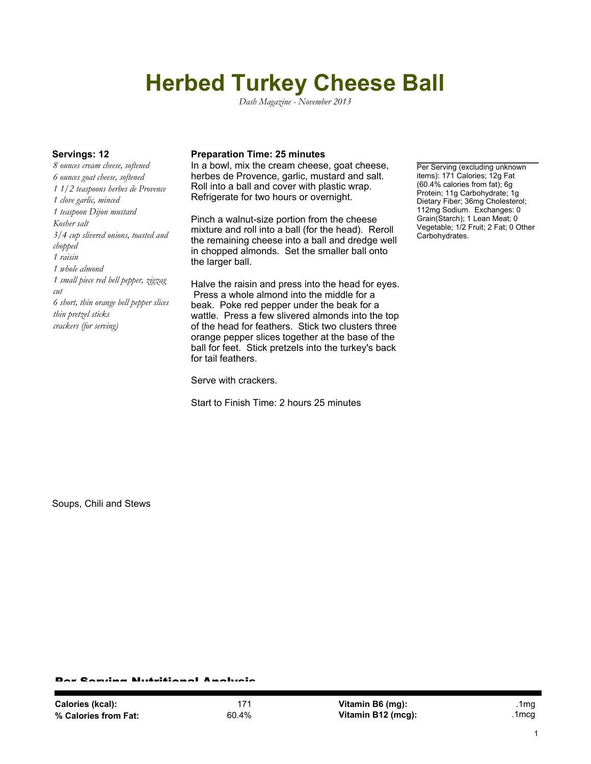## **Herbed Turkey Cheese Ball**

*Dash Magazine - November 2013*

*8 ounces cream cheese, softened 6 ounces goat cheese, softened 1 1/2 teaspoons herbes de Provence 1 clove garlic, minced 1 teaspoon Dijon mustard Kosher salt 3/4 cup slivered onions, toasted and chopped 1 raisin 1 whole almond 1 small piece red bell pepper, zigzag cut 6 short, thin orange bell pepper slices thin pretzel sticks crackers (for serving)*

## **Servings: 12 Preparation Time: 25 minutes**

In a bowl, mix the cream cheese, goat cheese, herbes de Provence, garlic, mustard and salt. Roll into a ball and cover with plastic wrap. Refrigerate for two hours or overnight.

Pinch a walnut-size portion from the cheese mixture and roll into a ball (for the head). Reroll the remaining cheese into a ball and dredge well in chopped almonds. Set the smaller ball onto the larger ball.

Halve the raisin and press into the head for eyes. Press a whole almond into the middle for a beak. Poke red pepper under the beak for a wattle. Press a few slivered almonds into the top of the head for feathers. Stick two clusters three orange pepper slices together at the base of the ball for feet. Stick pretzels into the turkey's back for tail feathers.

Serve with crackers.

Start to Finish Time: 2 hours 25 minutes

Per Serving (excluding unknown items): 171 Calories; 12g Fat (60.4% calories from fat); 6g Protein; 11g Carbohydrate; 1g Dietary Fiber; 36mg Cholesterol; 112mg Sodium. Exchanges: 0 Grain(Starch); 1 Lean Meat; 0 Vegetable; 1/2 Fruit; 2 Fat; 0 Other Carbohydrates.

Soups, Chili and Stews

r Candaa Nutritianal Analysis